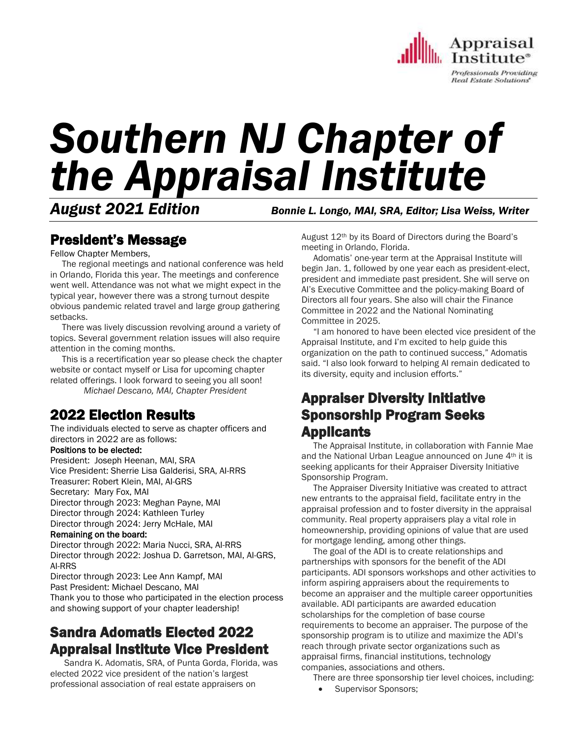

# *Southern NJ Chapter of the Appraisal Institute*

*August 2021 Edition Bonnie L. Longo, MAI, SRA, Editor; Lisa Weiss, Writer*

# President's Message

Fellow Chapter Members,

 The regional meetings and national conference was held in Orlando, Florida this year. The meetings and conference went well. Attendance was not what we might expect in the typical year, however there was a strong turnout despite obvious pandemic related travel and large group gathering setbacks.

 There was lively discussion revolving around a variety of topics. Several government relation issues will also require attention in the coming months.

 This is a recertification year so please check the chapter website or contact myself or Lisa for upcoming chapter related offerings. I look forward to seeing you all soon!

*Michael Descano, MAI, Chapter President*

# 2022 Election Results

The individuals elected to serve as chapter officers and directors in 2022 are as follows:

## Positions to be elected:

President: Joseph Heenan, MAI, SRA Vice President: Sherrie Lisa Galderisi, SRA, AI-RRS Treasurer: Robert Klein, MAI, AI-GRS Secretary: Mary Fox, MAI Director through 2023: Meghan Payne, MAI Director through 2024: Kathleen Turley Director through 2024: Jerry McHale, MAI

## Remaining on the board:

Director through 2022: Maria Nucci, SRA, AI-RRS Director through 2022: Joshua D. Garretson, MAI, AI-GRS, AI-RRS

Director through 2023: Lee Ann Kampf, MAI

Past President: Michael Descano, MAI

Thank you to those who participated in the election process and showing support of your chapter leadership!

# Sandra Adomatis Elected 2022 Appraisal Institute Vice President

 Sandra K. Adomatis, SRA, of Punta Gorda, Florida, was elected 2022 vice president of the nation's largest professional association of real estate appraisers on

August 12th by its Board of Directors during the Board's meeting in Orlando, Florida.

 Adomatis' one-year term at the Appraisal Institute will begin Jan. 1, followed by one year each as president-elect, president and immediate past president. She will serve on AI's Executive Committee and the policy-making Board of Directors all four years. She also will chair the Finance Committee in 2022 and the National Nominating Committee in 2025.

 "I am honored to have been elected vice president of the Appraisal Institute, and I'm excited to help guide this organization on the path to continued success," Adomatis said. "I also look forward to helping AI remain dedicated to its diversity, equity and inclusion efforts."

# Appraiser Diversity Initiative Sponsorship Program Seeks Applicants

 The Appraisal Institute, in collaboration with Fannie Mae and the National Urban League announced on June 4<sup>th</sup> it is seeking applicants for their Appraiser Diversity Initiative Sponsorship Program.

 The Appraiser Diversity Initiative was created to attract new entrants to the appraisal field, facilitate entry in the appraisal profession and to foster diversity in the appraisal community. Real property appraisers play a vital role in homeownership, providing opinions of value that are used for mortgage lending, among other things.

 The goal of the ADI is to create relationships and partnerships with sponsors for the benefit of the ADI participants. ADI sponsors workshops and other activities to inform aspiring appraisers about the requirements to become an appraiser and the multiple career opportunities available. ADI participants are awarded education scholarships for the completion of base course requirements to become an appraiser. The purpose of the sponsorship program is to utilize and maximize the ADI's reach through private sector organizations such as appraisal firms, financial institutions, technology companies, associations and others.

There are three sponsorship tier level choices, including:

Supervisor Sponsors;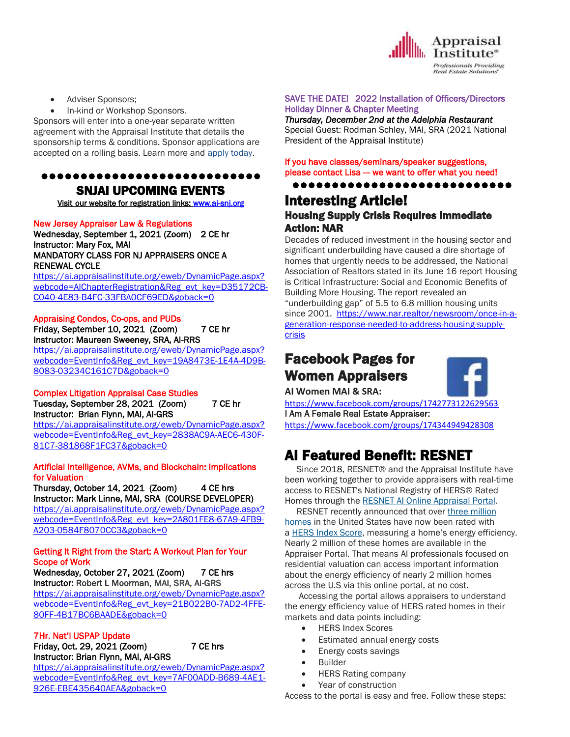

- Adviser Sponsors;
- In-kind or Workshop Sponsors.

Sponsors will enter into a one-year separate written agreement with the Appraisal Institute that details the sponsorship terms & conditions. Sponsor applications are accepted on a rolling basis. Learn more and [apply today.](https://www.appraisalinstitute.org/the-appraisal-profession/appraiser-diversity-initiative/)

## ●●●●●●●●●●●●●●●●●●●●●●●●●●●● SNJAI UPCOMING EVENTS

[Visit](http://www.myappraisalinstitute.org/education/southernNewJersey) our website for registration links[: www.ai-snj.org](http://www.ai-snj.org/) 

#### New Jersey Appraiser Law & Regulations

Wednesday, September 1, 2021 (Zoom) 2 CE hr Instructor: Mary Fox, MAI MANDATORY CLASS FOR NJ APPRAISERS ONCE A RENEWAL CYCLE

[https://ai.appraisalinstitute.org/eweb/DynamicPage.aspx?](https://ai.appraisalinstitute.org/eweb/DynamicPage.aspx?webcode=AIChapterRegistration&Reg_evt_key=D35172CB-C040-4E83-B4FC-33FBA0CF69ED&goback=0) [webcode=AIChapterRegistration&Reg\\_evt\\_key=D35172CB-](https://ai.appraisalinstitute.org/eweb/DynamicPage.aspx?webcode=AIChapterRegistration&Reg_evt_key=D35172CB-C040-4E83-B4FC-33FBA0CF69ED&goback=0)[C040-4E83-B4FC-33FBA0CF69ED&goback=0](https://ai.appraisalinstitute.org/eweb/DynamicPage.aspx?webcode=AIChapterRegistration&Reg_evt_key=D35172CB-C040-4E83-B4FC-33FBA0CF69ED&goback=0)

## Appraising Condos, Co-ops, and PUDs Friday, September 10, 2021 (Zoom) 7 CE hr

Instructor: Maureen Sweeney, SRA, AI-RRS [https://ai.appraisalinstitute.org/eweb/DynamicPage.aspx?](https://ai.appraisalinstitute.org/eweb/DynamicPage.aspx?webcode=EventInfo&Reg_evt_key=19A8473E-1E4A-4D9B-8083-03234C161C7D&goback=0)

[webcode=EventInfo&Reg\\_evt\\_key=19A8473E-1E4A-4D9B-](https://ai.appraisalinstitute.org/eweb/DynamicPage.aspx?webcode=EventInfo&Reg_evt_key=19A8473E-1E4A-4D9B-8083-03234C161C7D&goback=0)[8083-03234C161C7D&goback=0](https://ai.appraisalinstitute.org/eweb/DynamicPage.aspx?webcode=EventInfo&Reg_evt_key=19A8473E-1E4A-4D9B-8083-03234C161C7D&goback=0)

#### Complex Litigation Appraisal Case Studies Tuesday, September 28, 2021 (Zoom) 7 CE hr Instructor: Brian Flynn, MAI, AI-GRS

[https://ai.appraisalinstitute.org/eweb/DynamicPage.aspx?](https://ai.appraisalinstitute.org/eweb/DynamicPage.aspx?webcode=EventInfo&Reg_evt_key=2838AC9A-AEC6-430F-81C7-381868F1FC37&goback=0) [webcode=EventInfo&Reg\\_evt\\_key=2838AC9A-AEC6-430F-](https://ai.appraisalinstitute.org/eweb/DynamicPage.aspx?webcode=EventInfo&Reg_evt_key=2838AC9A-AEC6-430F-81C7-381868F1FC37&goback=0)[81C7-381868F1FC37&goback=0](https://ai.appraisalinstitute.org/eweb/DynamicPage.aspx?webcode=EventInfo&Reg_evt_key=2838AC9A-AEC6-430F-81C7-381868F1FC37&goback=0)

#### Artificial Intelligence, AVMs, and Blockchain: Implications for Valuation

Thursday, October 14, 2021 (Zoom) 4 CE hrs Instructor: Mark Linne, MAI, SRA (COURSE DEVELOPER)

[https://ai.appraisalinstitute.org/eweb/DynamicPage.aspx?](https://ai.appraisalinstitute.org/eweb/DynamicPage.aspx?webcode=EventInfo&Reg_evt_key=2A801FE8-67A9-4FB9-A203-0584F8070CC3&goback=0) [webcode=EventInfo&Reg\\_evt\\_key=2A801FE8-67A9-4FB9-](https://ai.appraisalinstitute.org/eweb/DynamicPage.aspx?webcode=EventInfo&Reg_evt_key=2A801FE8-67A9-4FB9-A203-0584F8070CC3&goback=0) [A203-0584F8070CC3&goback=0](https://ai.appraisalinstitute.org/eweb/DynamicPage.aspx?webcode=EventInfo&Reg_evt_key=2A801FE8-67A9-4FB9-A203-0584F8070CC3&goback=0)

### Getting It Right from the Start: A Workout Plan for Your Scope of Work

Wednesday, October 27, 2021 (Zoom) 7 CE hrs Instructor: Robert L Moorman, MAI, SRA, AI-GRS [https://ai.appraisalinstitute.org/eweb/DynamicPage.aspx?](https://ai.appraisalinstitute.org/eweb/DynamicPage.aspx?webcode=EventInfo&Reg_evt_key=21B022B0-7AD2-4FFE-80FF-4B17BC6BAADE&goback=0) [webcode=EventInfo&Reg\\_evt\\_key=21B022B0-7AD2-4FFE-](https://ai.appraisalinstitute.org/eweb/DynamicPage.aspx?webcode=EventInfo&Reg_evt_key=21B022B0-7AD2-4FFE-80FF-4B17BC6BAADE&goback=0)[80FF-4B17BC6BAADE&goback=0](https://ai.appraisalinstitute.org/eweb/DynamicPage.aspx?webcode=EventInfo&Reg_evt_key=21B022B0-7AD2-4FFE-80FF-4B17BC6BAADE&goback=0)

#### 7Hr. Nat'l USPAP Update Friday, Oct. 29, 2021 (Zoom) 7 CE hrs Instructor: Brian Flynn, MAI, AI-GRS

[926E-EBE435640AEA&goback=0](https://ai.appraisalinstitute.org/eweb/DynamicPage.aspx?webcode=EventInfo&Reg_evt_key=7AF00ADD-B689-4AE1-926E-EBE435640AEA&goback=0)

[https://ai.appraisalinstitute.org/eweb/DynamicPage.aspx?](https://ai.appraisalinstitute.org/eweb/DynamicPage.aspx?webcode=EventInfo&Reg_evt_key=7AF00ADD-B689-4AE1-926E-EBE435640AEA&goback=0) [webcode=EventInfo&Reg\\_evt\\_key=7AF00ADD-B689-4AE1-](https://ai.appraisalinstitute.org/eweb/DynamicPage.aspx?webcode=EventInfo&Reg_evt_key=7AF00ADD-B689-4AE1-926E-EBE435640AEA&goback=0)

### SAVE THE DATE! 2022 Installation of Officers/Directors Holiday Dinner & Chapter Meeting

*Thursday, December 2nd at the Adelphia Restaurant* Special Guest: Rodman Schley, MAI, SRA (2021 National President of the Appraisal Institute)

## If you have classes/seminars/speaker suggestions, please contact Lisa - we want to offer what you need!

●●●●●●●●●●●●●●●●●●●●●●●●●●●● Interesting Article!

## Housing Supply Crisis Requires Immediate Action: NAR

Decades of reduced investment in the housing sector and significant underbuilding have caused a dire shortage of homes that urgently needs to be addressed, the National Association of Realtors stated in its June 16 report Housing is Critical Infrastructure: Social and Economic Benefits of Building More Housing. The report revealed an "underbuilding gap" of 5.5 to 6.8 million housing units since 2001. [https://www.nar.realtor/newsroom/once-in-a](https://www.nar.realtor/newsroom/once-in-a-generation-response-needed-to-address-housing-supply-crisis)[generation-response-needed-to-address-housing-supply](https://www.nar.realtor/newsroom/once-in-a-generation-response-needed-to-address-housing-supply-crisis)[crisis](https://www.nar.realtor/newsroom/once-in-a-generation-response-needed-to-address-housing-supply-crisis)

# Facebook Pages for Women Appraisers



**AI Women MAI & SRA:** 

<https://www.facebook.com/groups/1742773122629563> I Am A Female Real Estate Appraiser:

<https://www.facebook.com/groups/174344949428308>

# AI Featured Benefit: RESNET

 Since 2018, RESNET® and the Appraisal Institute have been working together to provide appraisers with real-time access to RESNET's National Registry of HERS® Rated Homes through the RESNET AI Online [Appraisal](http://send.appraisalinstitute.org/link.cfm?r=vwtD93oHHyUAMd-FHE_JHA~~&pe=4hkBP-QGioQ_JtyqdxiqfSsU8ELw1UdF0CYpCZvJFwQ1Ocl202KJquPaB1VibvplqqyL2d1zS0tNE9rCHHO4TA~~&t=FC004kM3Vh3vHmCOLV9nLg~~) Portal.

 RESNET recently announced that over three [million](http://send.appraisalinstitute.org/link.cfm?r=vwtD93oHHyUAMd-FHE_JHA~~&pe=xXVdd-2OWq3I7i7sZwUww53_-8vvWs4oBDKzfn3N_X-jA2do2SgZY0lnld-QmWF3AllSsPd-kJ6foFXExoKDrA~~&t=FC004kM3Vh3vHmCOLV9nLg~~) [homes](http://send.appraisalinstitute.org/link.cfm?r=vwtD93oHHyUAMd-FHE_JHA~~&pe=xXVdd-2OWq3I7i7sZwUww53_-8vvWs4oBDKzfn3N_X-jA2do2SgZY0lnld-QmWF3AllSsPd-kJ6foFXExoKDrA~~&t=FC004kM3Vh3vHmCOLV9nLg~~) in the United States have now been rated with a **HERS Index Score**, measuring a home's energy efficiency. Nearly 2 million of these homes are available in the Appraiser Portal. That means AI professionals focused on residential valuation can access important information about the energy efficiency of nearly 2 million homes across the U.S via this online portal, at no cost.

 Accessing the portal allows appraisers to understand the energy efficiency value of HERS rated homes in their markets and data points including:

- HERS Index Scores
- Estimated annual energy costs
- Energy costs savings
- Builder
- HERS Rating company
- Year of construction

Access to the portal is easy and free. Follow these steps: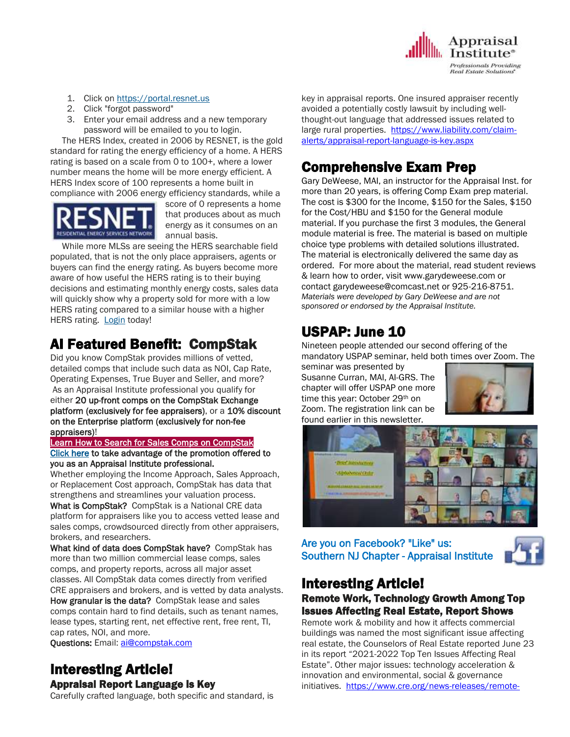

- 1. Click on [https://portal.resnet.us](http://send.appraisalinstitute.org/link.cfm?r=vwtD93oHHyUAMd-FHE_JHA~~&pe=PUAzFUliSMQ4GFjY14j3sL_jX59EpmqEwjeLd_h107ajAUA50Qxkd5CN39l9Wt6-l372gC7fVgsX9Sn1P4CMTw~~&t=FC004kM3Vh3vHmCOLV9nLg~~)
- 2. Click "forgot password"
- 3. Enter your email address and a new temporary password will be emailed to you to login.

 The HERS Index, created in 2006 by RESNET, is the gold standard for rating the energy efficiency of a home. A HERS rating is based on a scale from 0 to 100+, where a lower number means the home will be more energy efficient. A HERS Index score of 100 represents a home built in compliance with 2006 energy efficiency standards, while a



score of 0 represents a home that produces about as much energy as it consumes on an annual basis.

 While more MLSs are seeing the HERS searchable field populated, that is not the only place appraisers, agents or buyers can find the energy rating. As buyers become more aware of how useful the HERS rating is to their buying decisions and estimating monthly energy costs, sales data will quickly show why a property sold for more with a low HERS rating compared to a similar house with a higher HERS rating. [Login](http://send.appraisalinstitute.org/link.cfm?r=vwtD93oHHyUAMd-FHE_JHA~~&pe=eJE28jawpMkzTwW6pHivaJ1wP06UXn4vPx8nN8D0W2PofYMTTWZh1PGw6A2EZROy9Gkm_R4QBm4UadO4WGB4qg~~&t=FC004kM3Vh3vHmCOLV9nLg~~) today!

# AI Featured Benefit: CompStak

Did you know CompStak provides millions of vetted, detailed comps that include such data as NOI, Cap Rate, Operating Expenses, True Buyer and Seller, and more? As an Appraisal Institute professional you qualify for either 20 up-front comps on the CompStak Exchange platform (exclusively for fee appraisers), or a 10% discount on the Enterprise platform (exclusively for non-fee appraisers)!

#### [Learn How to Search for Sales Comps on CompStak](http://send.appraisalinstitute.org/link.cfm?r=vwtD93oHHyUAMd-FHE_JHA~~&pe=oHa0BO31PLbPU1xiWyBebdXa3bnKU93I6jU7jgtcMNp7Ni6BGzU3nbQvKSeLA4QxVboihMVFmyVrd8Hm0zshLQ~~&t=-Q4qDgf9h2lth2a58Z5LGQ~~)

[Click here](http://send.appraisalinstitute.org/link.cfm?r=vwtD93oHHyUAMd-FHE_JHA~~&pe=9OhkSj1xPhkLNxZhKNyw0cWhSgUvp22zIwc13Bu42eHtr1mNYsdMxLoCFS0xfthe6K_oJOqu1sr-0_nZryuzdw~~&t=-Q4qDgf9h2lth2a58Z5LGQ~~) to take advantage of the promotion offered to you as an Appraisal Institute professional.

Whether employing the Income Approach, Sales Approach, or Replacement Cost approach, CompStak has data that strengthens and streamlines your valuation process.

What is CompStak? CompStak is a National CRE data platform for appraisers like you to access vetted lease and sales comps, crowdsourced directly from other appraisers, brokers, and researchers.

What kind of data does CompStak have? CompStak has more than two million commercial lease comps, sales comps, and property reports, across all major asset classes. All CompStak data comes directly from verified CRE appraisers and brokers, and is vetted by data analysts. How granular is the data? CompStak lease and sales comps contain hard to find details, such as tenant names, lease types, starting rent, net effective rent, free rent, TI, cap rates, NOI, and more.

Questions: Email: [ai@compstak.com](mailto:ai@compstak.com)

## Interesting Article! Appraisal Report Language is Key

Carefully crafted language, both specific and standard, is

key in appraisal reports. One insured appraiser recently avoided a potentially costly lawsuit by including wellthought-out language that addressed issues related to large rural properties. [https://www.liability.com/claim](https://www.liability.com/claim-alerts/appraisal-report-language-is-key.aspx)[alerts/appraisal-report-language-is-key.aspx](https://www.liability.com/claim-alerts/appraisal-report-language-is-key.aspx)

# Comprehensive Exam Prep

Gary DeWeese, MAI, an instructor for the Appraisal Inst. for more than 20 years, is offering Comp Exam prep material. The cost is \$300 for the Income, \$150 for the Sales, \$150 for the Cost/HBU and \$150 for the General module material. If you purchase the first 3 modules, the General module material is free. The material is based on multiple choice type problems with detailed solutions illustrated. The material is electronically delivered the same day as ordered. For more about the material, read student reviews & learn how to order, visit www.garydeweese.com or contact garydeweese@comcast.net or 925-216-8751. *Materials were developed by Gary DeWeese and are not sponsored or endorsed by the Appraisal Institute.*

# USPAP: June 10

Nineteen people attended our second offering of the mandatory USPAP seminar, held both times over Zoom. The

seminar was presented by Susanne Curran, MAI, AI-GRS. The chapter will offer USPAP one more time this year: October 29<sup>th</sup> on Zoom. The registration link can be found earlier in this newsletter.





Are you on Facebook? "Like" us: Southern NJ Chapter - Appraisal Institute



# Interesting Article!

## Remote Work, Technology Growth Among Top Issues Affecting Real Estate, Report Shows

Remote work & mobility and how it affects commercial buildings was named the most significant issue affecting real estate, the Counselors of Real Estate reported June 23 in its report "2021-2022 Top Ten Issues Affecting Real Estate". Other major issues: technology acceleration & innovation and environmental, social & governance initiatives. [https://www.cre.org/news-releases/remote-](https://www.cre.org/news-releases/remote-work-mobility-what-does-this-mean-for-the-office-leading-global-concern-in-top-ten-issues-affecting-real-estate/)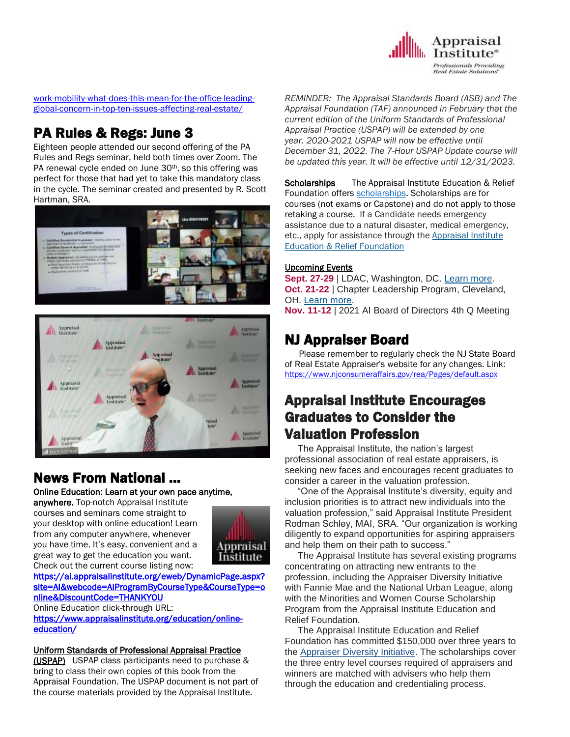

work-mobility-what-does-this-mean-for-the-office-leadingglobal-concern-in-top-ten-issues-affecting-real-estate/

# PA Rules & Regs: June 3

Eighteen people attended our second offering of the PA Rules and Regs seminar, held both times over Zoom. The PA renewal cycle ended on June 30<sup>th</sup>, so this offering was perfect for those that had yet to take this mandatory class in the cycle. The seminar created and presented by R. Scott Hartman, SRA.





# News From National …

[Online Education:](http://www.mmsend50.com/ls.cfm?r=99596491&sid=8974475&m=957997&u=Appraise&s=http://www.appraisalinstitute.org/online) Learn at your own pace anytime,

anywhere. Top-notch Appraisal Institute courses and seminars come straight to your desktop with online education! Learn from any computer anywhere, whenever you have time. It's easy, convenient and a great way to get the education you want. Check out the current course listing now:



[https://ai.appraisalinstitute.org/eweb/DynamicPage.aspx?](https://ai.appraisalinstitute.org/eweb/DynamicPage.aspx?site=AI&webcode=AIProgramByCourseType&CourseType=online&DiscountCode=THANKYOU) [site=AI&webcode=AIProgramByCourseType&CourseType=o](https://ai.appraisalinstitute.org/eweb/DynamicPage.aspx?site=AI&webcode=AIProgramByCourseType&CourseType=online&DiscountCode=THANKYOU) [nline&DiscountCode=THANKYOU](https://ai.appraisalinstitute.org/eweb/DynamicPage.aspx?site=AI&webcode=AIProgramByCourseType&CourseType=online&DiscountCode=THANKYOU) 

Online Education click-through URL:

[https://www.appraisalinstitute.org/education/online](https://www.appraisalinstitute.org/education/online-education/)[education/](https://www.appraisalinstitute.org/education/online-education/) 

## Uniform Standards of Professional Appraisal Practice

(USPAP) USPAP class participants need to purchase & bring to class their own copies of this book from the Appraisal Foundation. The USPAP document is not part of the course materials provided by the Appraisal Institute.

*REMINDER: The Appraisal Standards Board (ASB) and The Appraisal Foundation (TAF) announced in February that the current edition of the Uniform Standards of Professional Appraisal Practice (USPAP) will be extended by one year. 2020-2021 USPAP will now be effective until December 31, 2022. The 7-Hour USPAP Update course will be updated this year. It will be effective until 12/31/2023.*

Scholarships The Appraisal Institute Education & Relief Foundation offers [scholarships.](http://send.appraisalinstitute.org/link.cfm?r=TyxXOooBFM-9kcaVyjABIA~~&pe=k_y06NsR9-tB3atEDYdXWLTTqBM_H3aeIPclU_7mx0sd29sU_T_sOiJTIa3747wAJXWGK_wLmsw-M82swC-Ijw~~&t=jouIQRRPlOfDkLqJe5AmNA~~) Scholarships are for courses (not exams or Capstone) and do not apply to those retaking a course. If a Candidate needs emergency assistance due to a natural disaster, medical emergency, etc., apply for assistance through the Appraisal Institute Education & Relief Foundation

## Upcoming Events

**Sept. 27-29** | LDAC, Washington, DC. [Learn](http://send.appraisalinstitute.org/link.cfm?r=vwtD93oHHyUAMd-FHE_JHA~~&pe=ZTEqNRthJIs6YeeXDXvpYZr5HW4iofyLFT5C32ys5R1bCPHdfwj_8qmN3UfoURb3LBIdDFstcYjSGG92BGTjoQ~~&t=ucVG4JtNnul0lFv8ksrxcw~~) more. **Oct. 21-22** | Chapter Leadership Program, Cleveland, OH. [Learn](http://send.appraisalinstitute.org/link.cfm?r=vwtD93oHHyUAMd-FHE_JHA~~&pe=l2GwexXUtxIaYOKV6TedmngvAwDhVODwfeakKD24c5BmQ0OYP0WrWuezmw34hMWLmxe-ditxXm8X9uIinZg44Q~~&t=ucVG4JtNnul0lFv8ksrxcw~~) more.

**Nov. 11-12** | 2021 AI Board of Directors 4th Q Meeting

# NJ Appraiser Board

 Please remember to regularly check the NJ State Board of Real Estate Appraiser's website for any changes. Link: <https://www.njconsumeraffairs.gov/rea/Pages/default.aspx>

# Appraisal Institute Encourages Graduates to Consider the Valuation Profession

 The Appraisal Institute, the nation's largest professional association of real estate appraisers, is seeking new faces and encourages recent graduates to consider a career in the valuation profession.

 "One of the Appraisal Institute's diversity, equity and inclusion priorities is to attract new individuals into the valuation profession," said Appraisal Institute President Rodman Schley, MAI, SRA. "Our organization is working diligently to expand opportunities for aspiring appraisers and help them on their path to success."

 The Appraisal Institute has several existing programs concentrating on attracting new entrants to the profession, including the Appraiser Diversity Initiative with Fannie Mae and the National Urban League, along with the Minorities and Women Course Scholarship Program from the Appraisal Institute Education and Relief Foundation.

 The Appraisal Institute Education and Relief Foundation has committed \$150,000 over three years to the [Appraiser Diversity Initiative.](https://www.appraisalinstitute.org/the-appraisal-profession/appraiser-diversity-initiative/) The scholarships cover the three entry level courses required of appraisers and winners are matched with advisers who help them through the education and credentialing process.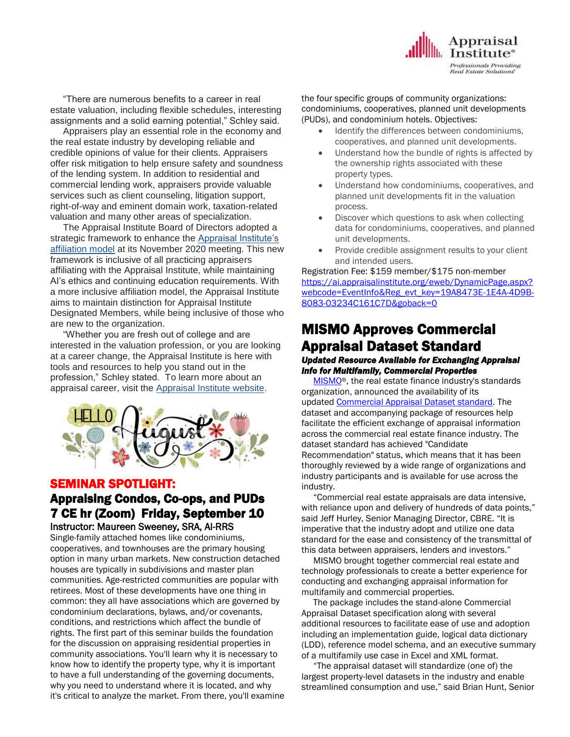

 "There are numerous benefits to a career in real estate valuation, including flexible schedules, interesting assignments and a solid earning potential," Schley said.

 Appraisers play an essential role in the economy and the real estate industry by developing reliable and credible opinions of value for their clients. Appraisers offer risk mitigation to help ensure safety and soundness of the lending system. In addition to residential and commercial lending work, appraisers provide valuable services such as client counseling, litigation support, right-of-way and eminent domain work, taxation-related valuation and many other areas of specialization.

 The Appraisal Institute Board of Directors adopted a strategic framework to enhance the [Appraisal Institute's](http://blog.appraisalinstitute.org/appraisal-institute-working-toward-a-more-inclusive-environment-for-all-valuers/)  [affiliation model](http://blog.appraisalinstitute.org/appraisal-institute-working-toward-a-more-inclusive-environment-for-all-valuers/) at its November 2020 meeting. This new framework is inclusive of all practicing appraisers affiliating with the Appraisal Institute, while maintaining AI's ethics and continuing education requirements. With a more inclusive affiliation model, the Appraisal Institute aims to maintain distinction for Appraisal Institute Designated Members, while being inclusive of those who are new to the organization.

 "Whether you are fresh out of college and are interested in the valuation profession, or you are looking at a career change, the Appraisal Institute is here with tools and resources to help you stand out in the profession," Schley stated. To learn more about an appraisal career, visit the [Appraisal Institute website.](https://www.appraisalinstitute.org/education/your-career/)



## SEMINAR SPOTLIGHT:

## Appraising Condos, Co-ops, and PUDs 7 CE hr (Zoom) Friday, September 10 Instructor: Maureen Sweeney, SRA, AI-RRS

Single-family attached homes like condominiums, cooperatives, and townhouses are the primary housing option in many urban markets. New construction detached houses are typically in subdivisions and master plan communities. Age-restricted communities are popular with retirees. Most of these developments have one thing in common: they all have associations which are governed by condominium declarations, bylaws, and/or covenants, conditions, and restrictions which affect the bundle of rights. The first part of this seminar builds the foundation for the discussion on appraising residential properties in community associations. You'll learn why it is necessary to know how to identify the property type, why it is important to have a full understanding of the governing documents, why you need to understand where it is located, and why it's critical to analyze the market. From there, you'll examine the four specific groups of community organizations: condominiums, cooperatives, planned unit developments (PUDs), and condominium hotels. Objectives:

- Identify the differences between condominiums, cooperatives, and planned unit developments.
- Understand how the bundle of rights is affected by the ownership rights associated with these property types.
- Understand how condominiums, cooperatives, and planned unit developments fit in the valuation process.
- Discover which questions to ask when collecting data for condominiums, cooperatives, and planned unit developments.
- Provide credible assignment results to your client and intended users.

### Registration Fee: \$159 member/\$175 non-member [https://ai.appraisalinstitute.org/eweb/DynamicPage.aspx?](https://ai.appraisalinstitute.org/eweb/DynamicPage.aspx?webcode=EventInfo&Reg_evt_key=19A8473E-1E4A-4D9B-8083-03234C161C7D&goback=0) [webcode=EventInfo&Reg\\_evt\\_key=19A8473E-1E4A-4D9B-](https://ai.appraisalinstitute.org/eweb/DynamicPage.aspx?webcode=EventInfo&Reg_evt_key=19A8473E-1E4A-4D9B-8083-03234C161C7D&goback=0)[8083-03234C161C7D&goback=0](https://ai.appraisalinstitute.org/eweb/DynamicPage.aspx?webcode=EventInfo&Reg_evt_key=19A8473E-1E4A-4D9B-8083-03234C161C7D&goback=0)

# MISMO Approves Commercial Appraisal Dataset Standard

## *Updated Resource Available for Exchanging Appraisal Info for Multifamily, Commercial Properties*

 [MISMO](https://s3141176.t.en25.com/e/er?utm_campaign=MISMO%20Approves%20Commercial%20Appraisal%20Dataset%20Standard&utm_medium=email&utm_source=Eloqua&s=3141176&lid=217&elqTrackId=4AD12C5E69DF9ECA48B69E5C9010F6B6&elq=657dfa590e134255b49966e2c6ceb367&elqaid=1811&elqat=1&elqah=F1E2EA4CE116C0BFED7E72BC08201FCD1D73D21B908B5648D01BCB709602699B)®, the real estate finance industry's standards organization, announced the availability of its updated [Commercial Appraisal Dataset standard.](https://s3141176.t.en25.com/e/er?utm_campaign=MISMO%20Approves%20Commercial%20Appraisal%20Dataset%20Standard&utm_medium=email&utm_source=Eloqua&s=3141176&lid=6142&elqTrackId=E1AE3D72532EB38709758DFA46CD2B12&elq=657dfa590e134255b49966e2c6ceb367&elqaid=1811&elqat=1&elqah=C62F8D5A5F8135E2EC9CFB7345B4655EF0101FC8BE89DF6322B9A8F5885F8786) The dataset and accompanying package of resources help facilitate the efficient exchange of appraisal information across the commercial real estate finance industry. The dataset standard has achieved "Candidate Recommendation" status, which means that it has been thoroughly reviewed by a wide range of organizations and industry participants and is available for use across the industry.

 "Commercial real estate appraisals are data intensive, with reliance upon and delivery of hundreds of data points," said Jeff Hurley, Senior Managing Director, CBRE. "It is imperative that the industry adopt and utilize one data standard for the ease and consistency of the transmittal of this data between appraisers, lenders and investors."

 MISMO brought together commercial real estate and technology professionals to create a better experience for conducting and exchanging appraisal information for multifamily and commercial properties.

 The package includes the stand-alone Commercial Appraisal Dataset specification along with several additional resources to facilitate ease of use and adoption including an implementation guide, logical data dictionary (LDD), reference model schema, and an executive summary of a multifamily use case in Excel and XML format.

 "The appraisal dataset will standardize (one of) the largest property-level datasets in the industry and enable streamlined consumption and use," said Brian Hunt, Senior